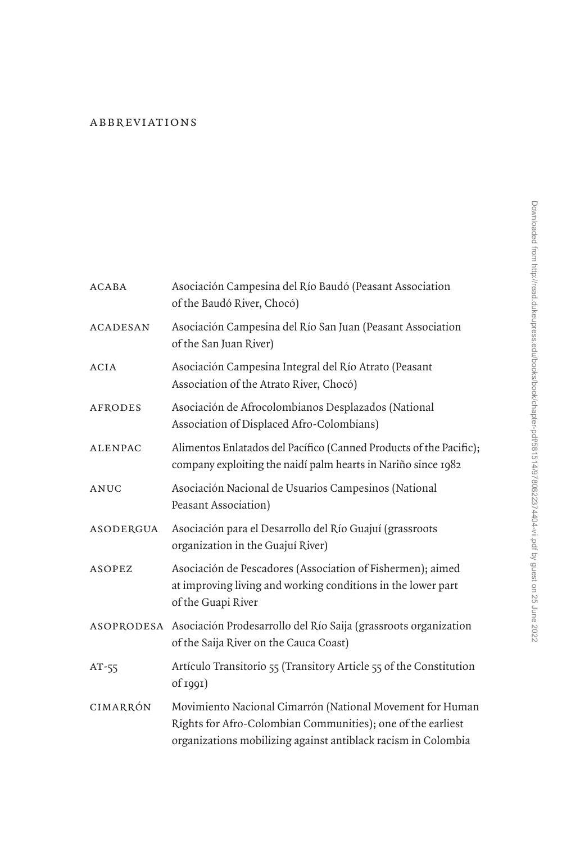## [abbreviations](#page--1-0)

| <b>ACABA</b>    | Asociación Campesina del Río Baudó (Peasant Association<br>of the Baudó River, Chocó)                                                                                                     |
|-----------------|-------------------------------------------------------------------------------------------------------------------------------------------------------------------------------------------|
| <b>ACADESAN</b> | Asociación Campesina del Río San Juan (Peasant Association<br>of the San Juan River)                                                                                                      |
| ACIA            | Asociación Campesina Integral del Río Atrato (Peasant<br>Association of the Atrato River, Chocó)                                                                                          |
| <b>AFRODES</b>  | Asociación de Afrocolombianos Desplazados (National<br>Association of Displaced Afro-Colombians)                                                                                          |
| <b>ALENPAC</b>  | Alimentos Enlatados del Pacífico (Canned Products of the Pacific);<br>company exploiting the naidí palm hearts in Nariño since 1982                                                       |
| ANUC            | Asociación Nacional de Usuarios Campesinos (National<br>Peasant Association)                                                                                                              |
| ASODERGUA       | Asociación para el Desarrollo del Río Guajuí (grassroots<br>organization in the Guajuí River)                                                                                             |
| <b>ASOPEZ</b>   | Asociación de Pescadores (Association of Fishermen); aimed<br>at improving living and working conditions in the lower part<br>of the Guapi River                                          |
|                 | ASOPRODESA Asociación Prodesarrollo del Río Saija (grassroots organization<br>of the Saija River on the Cauca Coast)                                                                      |
| $AT-55$         | Artículo Transitorio 55 (Transitory Article 55 of the Constitution<br>$of$ 1991)                                                                                                          |
| CIMARRÓN        | Movimiento Nacional Cimarrón (National Movement for Human<br>Rights for Afro-Colombian Communities); one of the earliest<br>organizations mobilizing against antiblack racism in Colombia |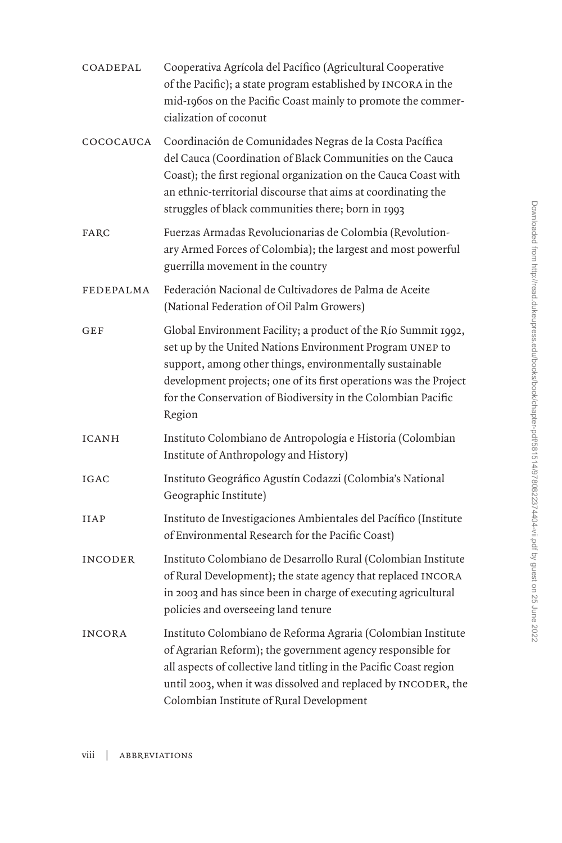| COADEPAL      | Cooperativa Agrícola del Pacífico (Agricultural Cooperative<br>of the Pacific); a state program established by INCORA in the<br>mid-1960s on the Pacific Coast mainly to promote the commer-<br>cialization of coconut                                                                                                                 |
|---------------|----------------------------------------------------------------------------------------------------------------------------------------------------------------------------------------------------------------------------------------------------------------------------------------------------------------------------------------|
| COCOCAUCA     | Coordinación de Comunidades Negras de la Costa Pacífica<br>del Cauca (Coordination of Black Communities on the Cauca<br>Coast); the first regional organization on the Cauca Coast with<br>an ethnic-territorial discourse that aims at coordinating the<br>struggles of black communities there; born in 1993                         |
| FARC          | Fuerzas Armadas Revolucionarias de Colombia (Revolution-<br>ary Armed Forces of Colombia); the largest and most powerful<br>guerrilla movement in the country                                                                                                                                                                          |
| FEDEPALMA     | Federación Nacional de Cultivadores de Palma de Aceite<br>(National Federation of Oil Palm Growers)                                                                                                                                                                                                                                    |
| GEF           | Global Environment Facility; a product of the Río Summit 1992,<br>set up by the United Nations Environment Program UNEP to<br>support, among other things, environmentally sustainable<br>development projects; one of its first operations was the Project<br>for the Conservation of Biodiversity in the Colombian Pacific<br>Region |
| ICANH         | Instituto Colombiano de Antropología e Historia (Colombian<br>Institute of Anthropology and History)                                                                                                                                                                                                                                   |
| IGAC          | Instituto Geográfico Agustín Codazzi (Colombia's National<br>Geographic Institute)                                                                                                                                                                                                                                                     |
| <b>IIAP</b>   | Instituto de Investigaciones Ambientales del Pacífico (Institute<br>of Environmental Research for the Pacific Coast)                                                                                                                                                                                                                   |
| INCODER       | Instituto Colombiano de Desarrollo Rural (Colombian Institute<br>of Rural Development); the state agency that replaced INCORA<br>in 2003 and has since been in charge of executing agricultural<br>policies and overseeing land tenure                                                                                                 |
| <b>INCORA</b> | Instituto Colombiano de Reforma Agraria (Colombian Institute<br>of Agrarian Reform); the government agency responsible for<br>all aspects of collective land titling in the Pacific Coast region<br>until 2003, when it was dissolved and replaced by INCODER, the<br>Colombian Institute of Rural Development                         |